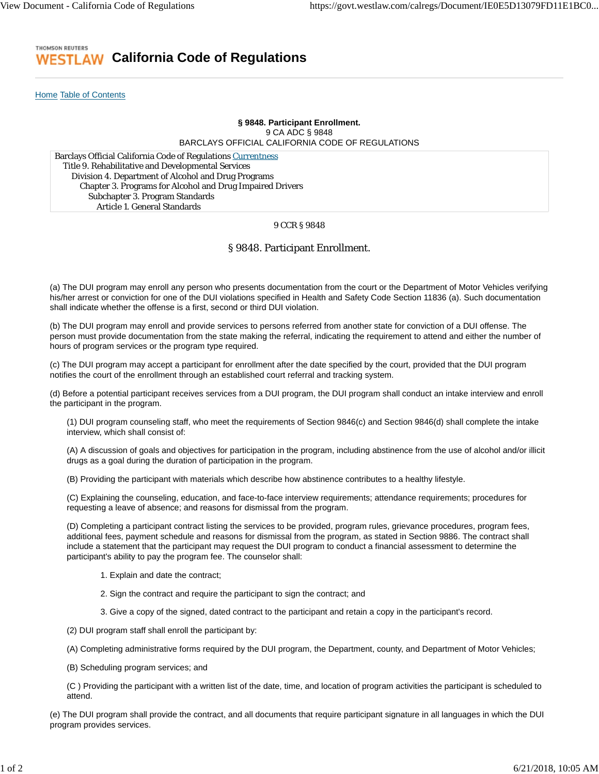#### THOMSON REUTERS **California Code of Regulations** ESTL AW

Home Table of Contents

## **§ 9848. Participant Enrollment.** 9 CA ADC § 9848 BARCLAYS OFFICIAL CALIFORNIA CODE OF REGULATIONS

Barclays Official California Code of Regulations Currentness Title 9. Rehabilitative and Developmental Services Division 4. Department of Alcohol and Drug Programs Chapter 3. Programs for Alcohol and Drug Impaired Drivers Subchapter 3. Program Standards Article 1. General Standards

## 9 CCR § 9848

# § 9848. Participant Enrollment.

(a) The DUI program may enroll any person who presents documentation from the court or the Department of Motor Vehicles verifying his/her arrest or conviction for one of the DUI violations specified in Health and Safety Code Section 11836 (a). Such documentation shall indicate whether the offense is a first, second or third DUI violation.

(b) The DUI program may enroll and provide services to persons referred from another state for conviction of a DUI offense. The person must provide documentation from the state making the referral, indicating the requirement to attend and either the number of hours of program services or the program type required.

(c) The DUI program may accept a participant for enrollment after the date specified by the court, provided that the DUI program notifies the court of the enrollment through an established court referral and tracking system.

(d) Before a potential participant receives services from a DUI program, the DUI program shall conduct an intake interview and enroll the participant in the program.

(1) DUI program counseling staff, who meet the requirements of Section 9846(c) and Section 9846(d) shall complete the intake interview, which shall consist of:

(A) A discussion of goals and objectives for participation in the program, including abstinence from the use of alcohol and/or illicit drugs as a goal during the duration of participation in the program.

(B) Providing the participant with materials which describe how abstinence contributes to a healthy lifestyle.

(C) Explaining the counseling, education, and face-to-face interview requirements; attendance requirements; procedures for requesting a leave of absence; and reasons for dismissal from the program.

(D) Completing a participant contract listing the services to be provided, program rules, grievance procedures, program fees, additional fees, payment schedule and reasons for dismissal from the program, as stated in Section 9886. The contract shall include a statement that the participant may request the DUI program to conduct a financial assessment to determine the participant's ability to pay the program fee. The counselor shall:

- 1. Explain and date the contract;
- 2. Sign the contract and require the participant to sign the contract; and
- 3. Give a copy of the signed, dated contract to the participant and retain a copy in the participant's record.

(2) DUI program staff shall enroll the participant by:

(A) Completing administrative forms required by the DUI program, the Department, county, and Department of Motor Vehicles;

(B) Scheduling program services; and

(C ) Providing the participant with a written list of the date, time, and location of program activities the participant is scheduled to attend.

(e) The DUI program shall provide the contract, and all documents that require participant signature in all languages in which the DUI program provides services.